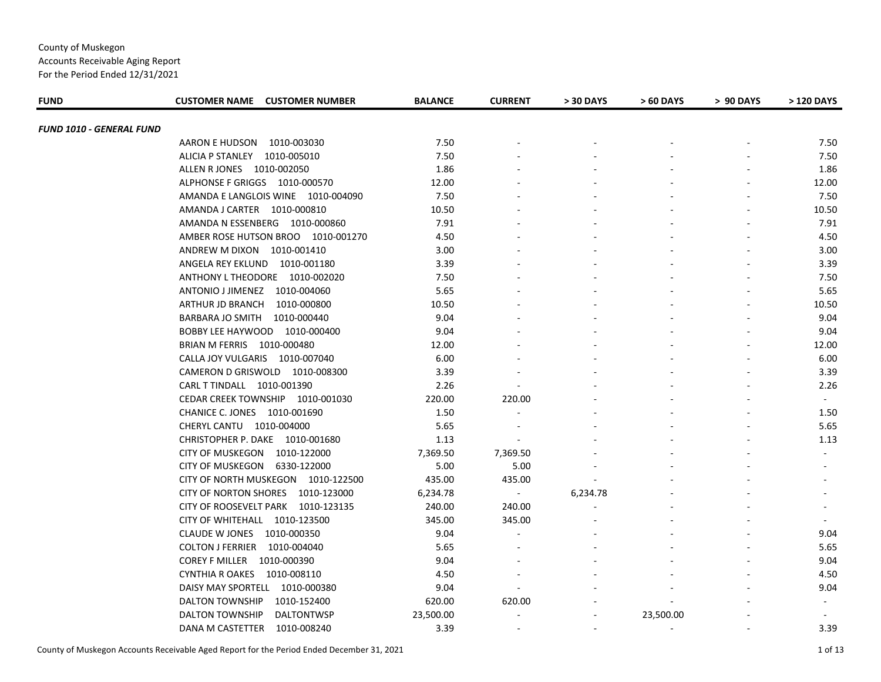Accounts Receivable Aging Report For the Period Ended 12/31/2021

| <b>FUND</b>              | <b>CUSTOMER NAME CUSTOMER NUMBER</b>   | <b>BALANCE</b> | <b>CURRENT</b>           | > 30 DAYS | > 60 DAYS | > 90 DAYS | > 120 DAYS |
|--------------------------|----------------------------------------|----------------|--------------------------|-----------|-----------|-----------|------------|
|                          |                                        |                |                          |           |           |           |            |
| FUND 1010 - GENERAL FUND | AARON E HUDSON 1010-003030             | 7.50           |                          |           |           |           | 7.50       |
|                          | ALICIA P STANLEY 1010-005010           | 7.50           |                          |           |           |           | 7.50       |
|                          | ALLEN R JONES 1010-002050              | 1.86           |                          |           |           |           | 1.86       |
|                          | ALPHONSE F GRIGGS 1010-000570          | 12.00          |                          |           |           |           | 12.00      |
|                          | AMANDA E LANGLOIS WINE 1010-004090     | 7.50           |                          |           |           |           | 7.50       |
|                          | AMANDA J CARTER  1010-000810           | 10.50          |                          |           |           |           | 10.50      |
|                          | AMANDA N ESSENBERG 1010-000860         | 7.91           |                          |           |           |           | 7.91       |
|                          | AMBER ROSE HUTSON BROO 1010-001270     | 4.50           |                          |           |           |           | 4.50       |
|                          | ANDREW M DIXON 1010-001410             | 3.00           |                          |           |           |           | 3.00       |
|                          | ANGELA REY EKLUND 1010-001180          | 3.39           |                          |           |           |           | 3.39       |
|                          | ANTHONY L THEODORE 1010-002020         | 7.50           |                          |           |           |           | 7.50       |
|                          | ANTONIO J JIMENEZ 1010-004060          | 5.65           |                          |           |           |           | 5.65       |
|                          | ARTHUR JD BRANCH<br>1010-000800        | 10.50          |                          |           |           |           | 10.50      |
|                          | BARBARA JO SMITH<br>1010-000440        | 9.04           |                          |           |           |           | 9.04       |
|                          | BOBBY LEE HAYWOOD 1010-000400          | 9.04           |                          |           |           |           | 9.04       |
|                          | BRIAN M FERRIS 1010-000480             | 12.00          |                          |           |           |           | 12.00      |
|                          | CALLA JOY VULGARIS 1010-007040         | 6.00           |                          |           |           |           | 6.00       |
|                          | CAMERON D GRISWOLD 1010-008300         | 3.39           |                          |           |           |           | 3.39       |
|                          | CARL T TINDALL 1010-001390             | 2.26           |                          |           |           |           | 2.26       |
|                          | CEDAR CREEK TOWNSHIP 1010-001030       | 220.00         | 220.00                   |           |           |           | $\sim$     |
|                          | CHANICE C. JONES 1010-001690           | 1.50           | $\sim$                   |           |           |           | 1.50       |
|                          | CHERYL CANTU 1010-004000               | 5.65           |                          |           |           |           | 5.65       |
|                          | CHRISTOPHER P. DAKE 1010-001680        | 1.13           | $\blacksquare$           |           |           |           | 1.13       |
|                          | <b>CITY OF MUSKEGON</b><br>1010-122000 | 7,369.50       | 7,369.50                 |           |           |           | $\sim$     |
|                          | <b>CITY OF MUSKEGON</b><br>6330-122000 | 5.00           | 5.00                     |           |           |           |            |
|                          | CITY OF NORTH MUSKEGON 1010-122500     | 435.00         | 435.00                   |           |           |           |            |
|                          | CITY OF NORTON SHORES 1010-123000      | 6,234.78       | $\overline{\phantom{a}}$ | 6,234.78  |           |           |            |
|                          | CITY OF ROOSEVELT PARK 1010-123135     | 240.00         | 240.00                   |           |           |           |            |
|                          | CITY OF WHITEHALL 1010-123500          | 345.00         | 345.00                   |           |           |           |            |
|                          | CLAUDE W JONES 1010-000350             | 9.04           |                          |           |           |           | 9.04       |
|                          | COLTON J FERRIER 1010-004040           | 5.65           |                          |           |           |           | 5.65       |
|                          | COREY F MILLER 1010-000390             | 9.04           |                          |           |           |           | 9.04       |
|                          | CYNTHIA R OAKES 1010-008110            | 4.50           |                          |           |           |           | 4.50       |
|                          | DAISY MAY SPORTELL 1010-000380         | 9.04           |                          |           |           |           | 9.04       |
|                          | <b>DALTON TOWNSHIP</b><br>1010-152400  | 620.00         | 620.00                   |           |           |           |            |
|                          | DALTON TOWNSHIP<br><b>DALTONTWSP</b>   | 23,500.00      |                          |           | 23,500.00 |           |            |
|                          | DANA M CASTETTER<br>1010-008240        | 3.39           |                          |           |           |           | 3.39       |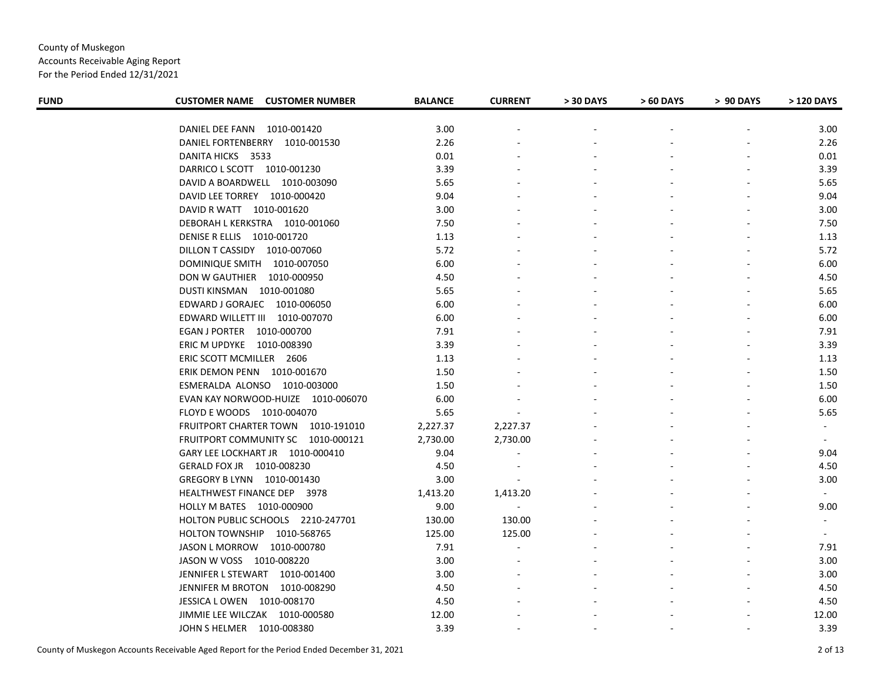Accounts Receivable Aging Report

| <b>FUND</b> | <b>CUSTOMER NAME CUSTOMER NUMBER</b>  | <b>BALANCE</b> | <b>CURRENT</b>           | > 30 DAYS | > 60 DAYS | > 90 DAYS | > 120 DAYS |
|-------------|---------------------------------------|----------------|--------------------------|-----------|-----------|-----------|------------|
|             | DANIEL DEE FANN 1010-001420           | 3.00           |                          |           |           |           | 3.00       |
|             | DANIEL FORTENBERRY 1010-001530        | 2.26           |                          |           |           |           | 2.26       |
|             | DANITA HICKS 3533                     | 0.01           |                          |           |           |           | 0.01       |
|             | DARRICO L SCOTT  1010-001230          | 3.39           |                          |           |           |           | 3.39       |
|             | DAVID A BOARDWELL 1010-003090         | 5.65           |                          |           |           |           | 5.65       |
|             | DAVID LEE TORREY 1010-000420          | 9.04           |                          |           |           |           | 9.04       |
|             | DAVID R WATT 1010-001620              | 3.00           |                          |           |           |           | 3.00       |
|             | DEBORAH L KERKSTRA 1010-001060        | 7.50           |                          |           |           |           | 7.50       |
|             | DENISE R ELLIS 1010-001720            | 1.13           |                          |           |           |           | 1.13       |
|             | DILLON T CASSIDY 1010-007060          | 5.72           |                          |           |           |           | 5.72       |
|             | DOMINIQUE SMITH 1010-007050           | 6.00           |                          |           |           |           | 6.00       |
|             | DON W GAUTHIER  1010-000950           | 4.50           |                          |           |           |           | 4.50       |
|             | DUSTI KINSMAN 1010-001080             | 5.65           |                          |           |           |           | 5.65       |
|             | EDWARD J GORAJEC 1010-006050          | 6.00           |                          |           |           |           | 6.00       |
|             | EDWARD WILLETT III 1010-007070        | 6.00           |                          |           |           |           | 6.00       |
|             | EGAN J PORTER 1010-000700             | 7.91           |                          |           |           |           | 7.91       |
|             | ERIC M UPDYKE 1010-008390             | 3.39           |                          |           |           |           | 3.39       |
|             | ERIC SCOTT MCMILLER 2606              | 1.13           |                          |           |           |           | 1.13       |
|             | ERIK DEMON PENN 1010-001670           | 1.50           |                          |           |           |           | 1.50       |
|             | ESMERALDA ALONSO 1010-003000          | 1.50           |                          |           |           |           | 1.50       |
|             | EVAN KAY NORWOOD-HUIZE 1010-006070    | 6.00           |                          |           |           |           | 6.00       |
|             | FLOYD E WOODS 1010-004070             | 5.65           |                          |           |           |           | 5.65       |
|             | FRUITPORT CHARTER TOWN 1010-191010    | 2,227.37       | 2,227.37                 |           |           |           | $\sim$     |
|             | FRUITPORT COMMUNITY SC 1010-000121    | 2,730.00       | 2,730.00                 |           |           |           | $\sim$     |
|             | GARY LEE LOCKHART JR 1010-000410      | 9.04           | $\blacksquare$           |           |           |           | 9.04       |
|             | GERALD FOX JR 1010-008230             | 4.50           | $\overline{\phantom{a}}$ |           |           |           | 4.50       |
|             | GREGORY B LYNN 1010-001430            | 3.00           |                          |           |           |           | 3.00       |
|             | HEALTHWEST FINANCE DEP 3978           | 1,413.20       | 1,413.20                 |           |           |           |            |
|             | HOLLY M BATES  1010-000900            | 9.00           |                          |           |           |           | 9.00       |
|             | HOLTON PUBLIC SCHOOLS 2210-247701     | 130.00         | 130.00                   |           |           |           |            |
|             | <b>HOLTON TOWNSHIP</b><br>1010-568765 | 125.00         | 125.00                   |           |           |           |            |
|             | JASON L MORROW<br>1010-000780         | 7.91           |                          |           |           |           | 7.91       |
|             | JASON W VOSS 1010-008220              | 3.00           |                          |           |           |           | 3.00       |
|             | JENNIFER L STEWART 1010-001400        | 3.00           |                          |           |           |           | 3.00       |
|             | JENNIFER M BROTON 1010-008290         | 4.50           |                          |           |           |           | 4.50       |
|             | JESSICA L OWEN 1010-008170            | 4.50           |                          |           |           |           | 4.50       |
|             | JIMMIE LEE WILCZAK 1010-000580        | 12.00          |                          |           |           |           | 12.00      |
|             | JOHN S HELMER 1010-008380             | 3.39           |                          |           |           |           | 3.39       |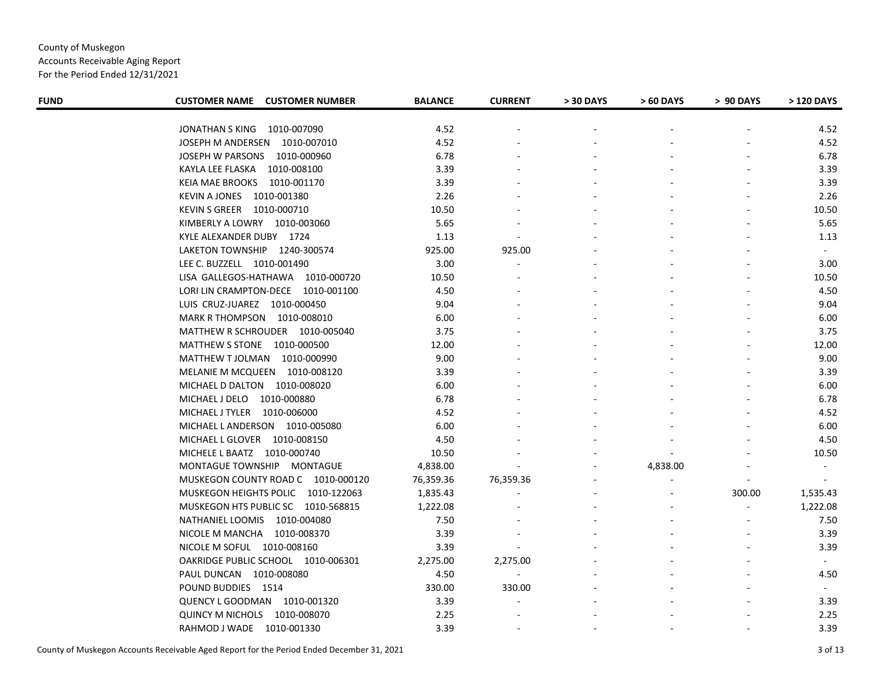Accounts Receivable Aging Report

| <b>FUND</b> | <b>CUSTOMER NAME CUSTOMER NUMBER</b> | <b>BALANCE</b> | <b>CURRENT</b> | > 30 DAYS | > 60 DAYS | > 90 DAYS      | > 120 DAYS |
|-------------|--------------------------------------|----------------|----------------|-----------|-----------|----------------|------------|
|             |                                      |                |                |           |           |                |            |
|             | JONATHAN S KING 1010-007090          | 4.52           |                |           |           |                | 4.52       |
|             | JOSEPH M ANDERSEN 1010-007010        | 4.52           |                |           |           |                | 4.52       |
|             | JOSEPH W PARSONS 1010-000960         | 6.78           |                |           |           |                | 6.78       |
|             | KAYLA LEE FLASKA 1010-008100         | 3.39           |                |           |           |                | 3.39       |
|             | KEIA MAE BROOKS 1010-001170          | 3.39           |                |           |           |                | 3.39       |
|             | KEVIN A JONES 1010-001380            | 2.26           |                |           |           |                | 2.26       |
|             | KEVIN S GREER 1010-000710            | 10.50          |                |           |           |                | 10.50      |
|             | KIMBERLY A LOWRY 1010-003060         | 5.65           |                |           |           |                | 5.65       |
|             | KYLE ALEXANDER DUBY 1724             | 1.13           | $\blacksquare$ |           |           |                | 1.13       |
|             | LAKETON TOWNSHIP 1240-300574         | 925.00         | 925.00         |           |           |                | $\sim$     |
|             | LEE C. BUZZELL 1010-001490           | 3.00           |                |           |           |                | 3.00       |
|             | LISA GALLEGOS-HATHAWA 1010-000720    | 10.50          |                |           |           |                | 10.50      |
|             | LORI LIN CRAMPTON-DECE 1010-001100   | 4.50           |                |           |           |                | 4.50       |
|             | LUIS CRUZ-JUAREZ 1010-000450         | 9.04           |                |           |           |                | 9.04       |
|             | MARK R THOMPSON 1010-008010          | 6.00           |                |           |           |                | 6.00       |
|             | MATTHEW R SCHROUDER 1010-005040      | 3.75           |                |           |           |                | 3.75       |
|             | MATTHEW S STONE 1010-000500          | 12.00          |                |           |           |                | 12.00      |
|             | MATTHEW T JOLMAN 1010-000990         | 9.00           |                |           |           |                | 9.00       |
|             | MELANIE M MCQUEEN 1010-008120        | 3.39           |                |           |           |                | 3.39       |
|             | MICHAEL D DALTON 1010-008020         | 6.00           |                |           |           |                | 6.00       |
|             | MICHAEL J DELO 1010-000880           | 6.78           |                |           |           |                | 6.78       |
|             | MICHAEL J TYLER 1010-006000          | 4.52           |                |           |           |                | 4.52       |
|             | MICHAEL LANDERSON 1010-005080        | 6.00           |                |           |           |                | 6.00       |
|             | MICHAEL L GLOVER 1010-008150         | 4.50           |                |           |           |                | 4.50       |
|             | MICHELE L BAATZ 1010-000740          | 10.50          |                |           |           |                | 10.50      |
|             | MONTAGUE TOWNSHIP MONTAGUE           | 4,838.00       |                |           | 4,838.00  |                | $\sim$     |
|             | MUSKEGON COUNTY ROAD C 1010-000120   | 76,359.36      | 76,359.36      |           |           |                |            |
|             | MUSKEGON HEIGHTS POLIC 1010-122063   | 1,835.43       |                |           |           | 300.00         | 1,535.43   |
|             | MUSKEGON HTS PUBLIC SC 1010-568815   | 1,222.08       |                |           |           | $\blacksquare$ | 1,222.08   |
|             | NATHANIEL LOOMIS 1010-004080         | 7.50           |                |           |           |                | 7.50       |
|             | NICOLE M MANCHA 1010-008370          | 3.39           |                |           |           |                | 3.39       |
|             | NICOLE M SOFUL 1010-008160           | 3.39           |                |           |           |                | 3.39       |
|             | OAKRIDGE PUBLIC SCHOOL 1010-006301   | 2,275.00       | 2,275.00       |           |           |                | $\sim$     |
|             | PAUL DUNCAN 1010-008080              | 4.50           | $\sim$         |           |           |                | 4.50       |
|             | POUND BUDDIES 1514                   | 330.00         | 330.00         |           |           |                | $\sim$ $-$ |
|             | QUENCY L GOODMAN 1010-001320         | 3.39           | $\sim$         |           |           |                | 3.39       |
|             | QUINCY M NICHOLS 1010-008070         | 2.25           |                |           |           |                | 2.25       |
|             | RAHMOD J WADE 1010-001330            | 3.39           |                |           |           |                | 3.39       |
|             |                                      |                |                |           |           |                |            |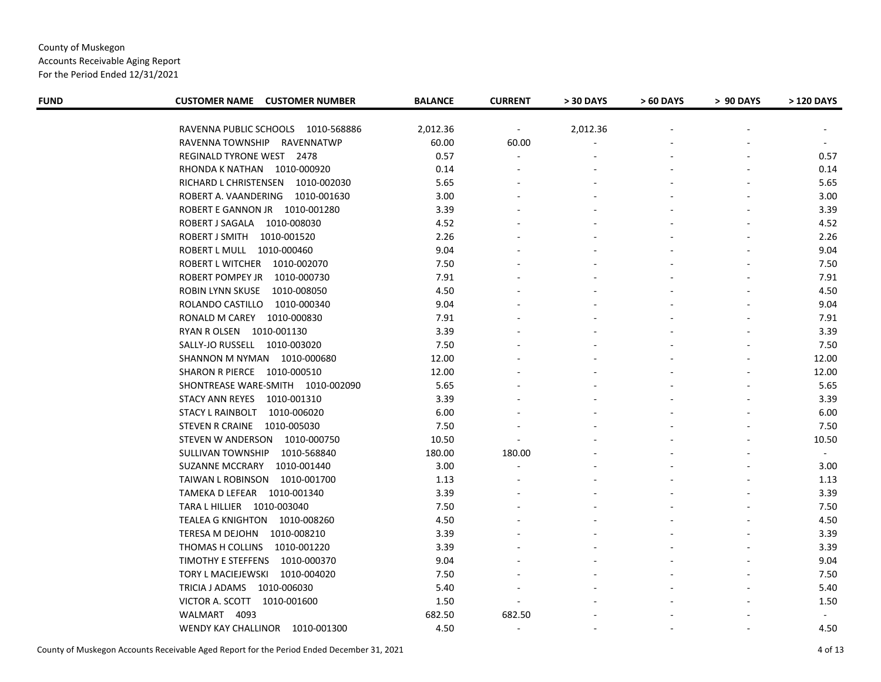Accounts Receivable Aging Report

| <b>FUND</b> | <b>CUSTOMER NAME CUSTOMER NUMBER</b> | <b>BALANCE</b> | <b>CURRENT</b>           | > 30 DAYS | > 60 DAYS | > 90 DAYS | > 120 DAYS |
|-------------|--------------------------------------|----------------|--------------------------|-----------|-----------|-----------|------------|
|             | RAVENNA PUBLIC SCHOOLS 1010-568886   | 2,012.36       | $\blacksquare$           | 2,012.36  |           |           |            |
|             | RAVENNA TOWNSHIP<br>RAVENNATWP       | 60.00          | 60.00                    |           |           |           |            |
|             | <b>REGINALD TYRONE WEST 2478</b>     | 0.57           | $\blacksquare$           |           |           |           | 0.57       |
|             | RHONDA K NATHAN 1010-000920          | 0.14           |                          |           |           |           | 0.14       |
|             | RICHARD L CHRISTENSEN 1010-002030    | 5.65           |                          |           |           |           | 5.65       |
|             | ROBERT A. VAANDERING 1010-001630     | 3.00           |                          |           |           |           | 3.00       |
|             | ROBERT E GANNON JR 1010-001280       | 3.39           |                          |           |           |           | 3.39       |
|             | ROBERT J SAGALA 1010-008030          | 4.52           |                          |           |           |           | 4.52       |
|             | ROBERT J SMITH<br>1010-001520        | 2.26           |                          |           |           |           | 2.26       |
|             | ROBERT L MULL 1010-000460            | 9.04           |                          |           |           |           | 9.04       |
|             | ROBERT L WITCHER 1010-002070         | 7.50           |                          |           |           |           | 7.50       |
|             | ROBERT POMPEY JR<br>1010-000730      | 7.91           |                          |           |           |           | 7.91       |
|             | ROBIN LYNN SKUSE<br>1010-008050      | 4.50           |                          |           |           |           | 4.50       |
|             | ROLANDO CASTILLO 1010-000340         | 9.04           |                          |           |           |           | 9.04       |
|             | RONALD M CAREY 1010-000830           | 7.91           |                          |           |           |           | 7.91       |
|             | RYAN R OLSEN 1010-001130             | 3.39           |                          |           |           |           | 3.39       |
|             | SALLY-JO RUSSELL 1010-003020         | 7.50           |                          |           |           |           | 7.50       |
|             | SHANNON M NYMAN 1010-000680          | 12.00          |                          |           |           |           | 12.00      |
|             | SHARON R PIERCE 1010-000510          | 12.00          |                          |           |           |           | 12.00      |
|             | SHONTREASE WARE-SMITH 1010-002090    | 5.65           |                          |           |           |           | 5.65       |
|             | STACY ANN REYES 1010-001310          | 3.39           |                          |           |           |           | 3.39       |
|             | STACY L RAINBOLT 1010-006020         | 6.00           |                          |           |           |           | 6.00       |
|             | STEVEN R CRAINE<br>1010-005030       | 7.50           |                          |           |           |           | 7.50       |
|             | STEVEN W ANDERSON 1010-000750        | 10.50          | $\overline{\phantom{a}}$ |           |           |           | 10.50      |
|             | SULLIVAN TOWNSHIP<br>1010-568840     | 180.00         | 180.00                   |           |           |           | $\sim$     |
|             | SUZANNE MCCRARY<br>1010-001440       | 3.00           |                          |           |           |           | 3.00       |
|             | TAIWAN L ROBINSON  1010-001700       | 1.13           |                          |           |           |           | 1.13       |
|             | TAMEKA D LEFEAR 1010-001340          | 3.39           |                          |           |           |           | 3.39       |
|             | TARA L HILLIER  1010-003040          | 7.50           |                          |           |           |           | 7.50       |
|             | TEALEA G KNIGHTON 1010-008260        | 4.50           |                          |           |           |           | 4.50       |
|             | TERESA M DEJOHN 1010-008210          | 3.39           |                          |           |           |           | 3.39       |
|             | THOMAS H COLLINS<br>1010-001220      | 3.39           |                          |           |           |           | 3.39       |
|             | TIMOTHY E STEFFENS 1010-000370       | 9.04           |                          |           |           |           | 9.04       |
|             | TORY L MACIEJEWSKI<br>1010-004020    | 7.50           |                          |           |           |           | 7.50       |
|             | TRICIA J ADAMS  1010-006030          | 5.40           |                          |           |           |           | 5.40       |
|             | VICTOR A. SCOTT 1010-001600          | 1.50           |                          |           |           |           | 1.50       |
|             | WALMART 4093                         | 682.50         | 682.50                   |           |           |           |            |
|             | WENDY KAY CHALLINOR 1010-001300      | 4.50           | $\blacksquare$           |           |           |           | 4.50       |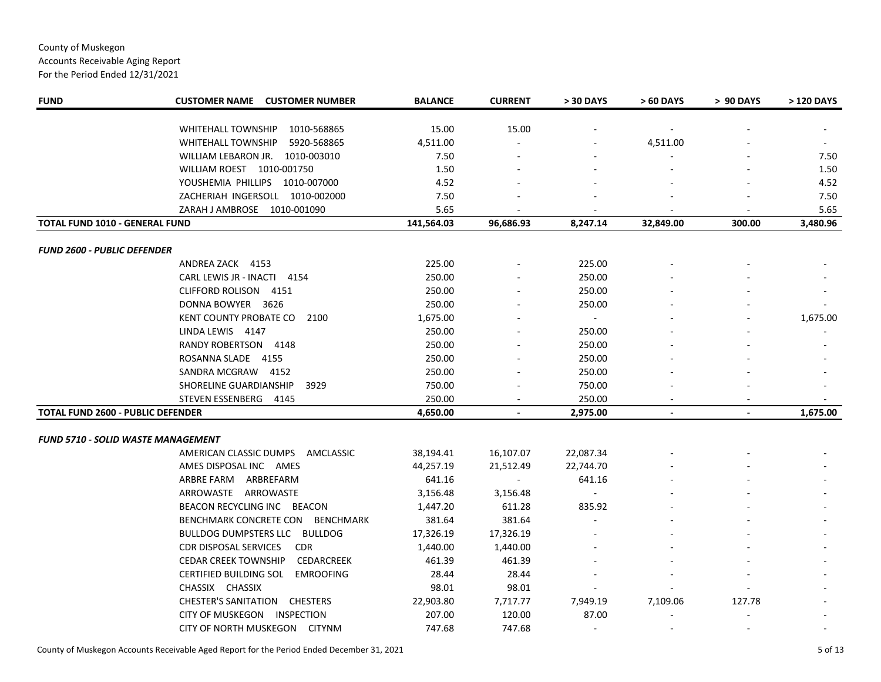Accounts Receivable Aging Report

| <b>FUND</b>                               | <b>CUSTOMER NAME CUSTOMER NUMBER</b>              | <b>BALANCE</b> | <b>CURRENT</b> | > 30 DAYS | > 60 DAYS      | > 90 DAYS      | > 120 DAYS |
|-------------------------------------------|---------------------------------------------------|----------------|----------------|-----------|----------------|----------------|------------|
|                                           | WHITEHALL TOWNSHIP<br>1010-568865                 | 15.00          | 15.00          |           |                |                |            |
|                                           | <b>WHITEHALL TOWNSHIP</b><br>5920-568865          | 4,511.00       |                |           | 4,511.00       |                |            |
|                                           | WILLIAM LEBARON JR.<br>1010-003010                | 7.50           |                |           |                |                | 7.50       |
|                                           | WILLIAM ROEST 1010-001750                         | 1.50           |                |           |                |                | 1.50       |
|                                           | YOUSHEMIA PHILLIPS 1010-007000                    | 4.52           |                |           |                |                | 4.52       |
|                                           | ZACHERIAH INGERSOLL 1010-002000                   | 7.50           |                |           |                |                | 7.50       |
|                                           | ZARAH J AMBROSE 1010-001090                       | 5.65           |                |           |                |                | 5.65       |
| TOTAL FUND 1010 - GENERAL FUND            |                                                   | 141,564.03     | 96,686.93      | 8,247.14  | 32,849.00      | 300.00         | 3,480.96   |
|                                           |                                                   |                |                |           |                |                |            |
| <b>FUND 2600 - PUBLIC DEFENDER</b>        |                                                   |                |                |           |                |                |            |
|                                           | ANDREA ZACK 4153                                  | 225.00         |                | 225.00    |                |                |            |
|                                           | CARL LEWIS JR - INACTI 4154                       | 250.00         |                | 250.00    |                |                |            |
|                                           | CLIFFORD ROLISON 4151                             | 250.00         |                | 250.00    |                |                |            |
|                                           | DONNA BOWYER 3626                                 | 250.00         |                | 250.00    |                |                |            |
|                                           | KENT COUNTY PROBATE CO<br>2100                    | 1,675.00       |                | $\sim$    |                |                | 1,675.00   |
|                                           | LINDA LEWIS 4147                                  | 250.00         |                | 250.00    |                |                |            |
|                                           | RANDY ROBERTSON 4148                              | 250.00         |                | 250.00    |                |                |            |
|                                           | ROSANNA SLADE 4155                                | 250.00         |                | 250.00    |                |                |            |
|                                           | SANDRA MCGRAW 4152                                | 250.00         |                | 250.00    |                |                |            |
|                                           | SHORELINE GUARDIANSHIP<br>3929                    | 750.00         |                | 750.00    |                |                |            |
|                                           | STEVEN ESSENBERG<br>4145                          | 250.00         |                | 250.00    |                |                |            |
| <b>TOTAL FUND 2600 - PUBLIC DEFENDER</b>  |                                                   | 4,650.00       | $\blacksquare$ | 2,975.00  | $\blacksquare$ | $\blacksquare$ | 1,675.00   |
| <b>FUND 5710 - SOLID WASTE MANAGEMENT</b> |                                                   |                |                |           |                |                |            |
|                                           | AMERICAN CLASSIC DUMPS<br>AMCLASSIC               | 38,194.41      | 16,107.07      | 22,087.34 |                |                |            |
|                                           | AMES DISPOSAL INC AMES                            | 44,257.19      | 21,512.49      | 22,744.70 |                |                |            |
|                                           | ARBRE FARM<br>ARBREFARM                           | 641.16         |                | 641.16    |                |                |            |
|                                           | ARROWASTE ARROWASTE                               | 3,156.48       | 3,156.48       |           |                |                |            |
|                                           | BEACON RECYCLING INC BEACON                       | 1,447.20       | 611.28         | 835.92    |                |                |            |
|                                           | BENCHMARK CONCRETE CON<br>BENCHMARK               | 381.64         | 381.64         |           |                |                |            |
|                                           | BULLDOG DUMPSTERS LLC BULLDOG                     | 17,326.19      | 17,326.19      |           |                |                |            |
|                                           | CDR DISPOSAL SERVICES<br><b>CDR</b>               | 1,440.00       | 1,440.00       |           |                |                |            |
|                                           | <b>CEDAR CREEK TOWNSHIP</b><br>CEDARCREEK         | 461.39         | 461.39         |           |                |                |            |
|                                           | <b>CERTIFIED BUILDING SOL</b><br><b>EMROOFING</b> | 28.44          | 28.44          |           |                |                |            |
|                                           | CHASSIX CHASSIX                                   | 98.01          | 98.01          |           |                |                |            |
|                                           | <b>CHESTER'S SANITATION CHESTERS</b>              | 22,903.80      | 7,717.77       | 7,949.19  | 7,109.06       | 127.78         |            |
|                                           | CITY OF MUSKEGON INSPECTION                       | 207.00         | 120.00         | 87.00     |                |                |            |
|                                           | CITY OF NORTH MUSKEGON CITYNM                     | 747.68         | 747.68         | $\sim$    |                |                |            |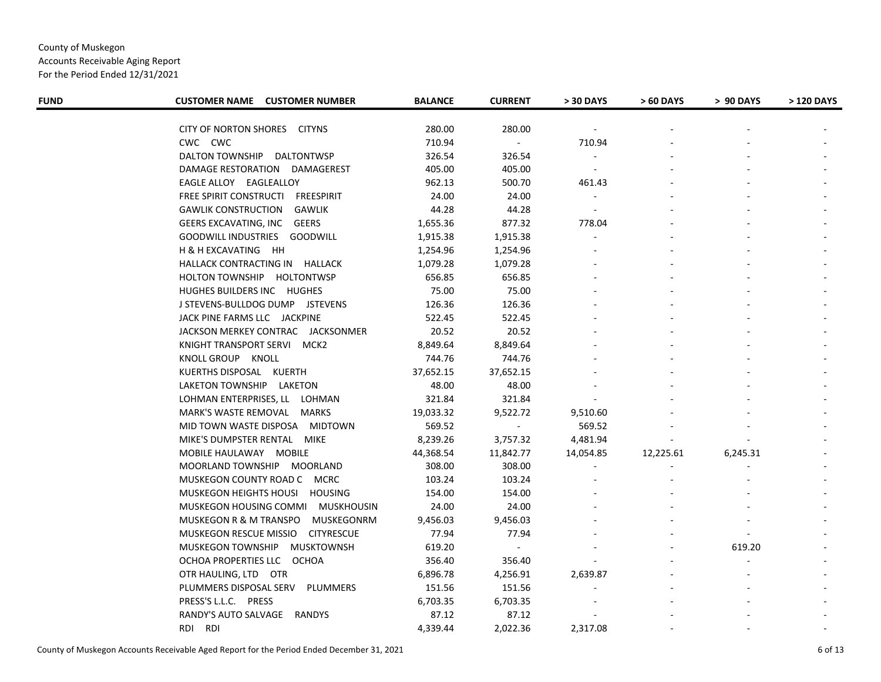Accounts Receivable Aging Report

| <b>FUND</b> | <b>CUSTOMER NAME CUSTOMER NUMBER</b> | <b>BALANCE</b> | <b>CURRENT</b> | > 30 DAYS                | > 60 DAYS | > 90 DAYS | > 120 DAYS |
|-------------|--------------------------------------|----------------|----------------|--------------------------|-----------|-----------|------------|
|             | CITY OF NORTON SHORES CITYNS         | 280.00         | 280.00         | $\overline{\phantom{a}}$ |           |           |            |
|             | CWC CWC                              | 710.94         | $\blacksquare$ | 710.94                   |           |           |            |
|             | DALTON TOWNSHIP<br>DALTONTWSP        | 326.54         | 326.54         |                          |           |           |            |
|             | DAMAGE RESTORATION DAMAGEREST        | 405.00         | 405.00         |                          |           |           |            |
|             | EAGLE ALLOY EAGLEALLOY               | 962.13         | 500.70         | 461.43                   |           |           |            |
|             | FREE SPIRIT CONSTRUCTI FREESPIRIT    | 24.00          | 24.00          | $\sim$                   |           |           |            |
|             | <b>GAWLIK CONSTRUCTION</b><br>GAWLIK | 44.28          | 44.28          | $\blacksquare$           |           |           |            |
|             | GEERS EXCAVATING, INC GEERS          | 1,655.36       | 877.32         | 778.04                   |           |           |            |
|             | GOODWILL INDUSTRIES GOODWILL         | 1,915.38       | 1,915.38       |                          |           |           |            |
|             | H & H EXCAVATING HH                  | 1,254.96       | 1,254.96       |                          |           |           |            |
|             | HALLACK CONTRACTING IN HALLACK       | 1,079.28       | 1,079.28       |                          |           |           |            |
|             | HOLTON TOWNSHIP HOLTONTWSP           | 656.85         | 656.85         |                          |           |           |            |
|             | HUGHES BUILDERS INC HUGHES           | 75.00          | 75.00          |                          |           |           |            |
|             | J STEVENS-BULLDOG DUMP JSTEVENS      | 126.36         | 126.36         |                          |           |           |            |
|             | JACK PINE FARMS LLC JACKPINE         | 522.45         | 522.45         |                          |           |           |            |
|             | JACKSON MERKEY CONTRAC JACKSONMER    | 20.52          | 20.52          |                          |           |           |            |
|             | KNIGHT TRANSPORT SERVI MCK2          | 8,849.64       | 8,849.64       |                          |           |           |            |
|             | KNOLL GROUP KNOLL                    | 744.76         | 744.76         |                          |           |           |            |
|             |                                      | 37,652.15      | 37,652.15      |                          |           |           |            |
|             | KUERTHS DISPOSAL KUERTH              |                |                |                          |           |           |            |
|             | LAKETON TOWNSHIP LAKETON             | 48.00          | 48.00          |                          |           |           |            |
|             | LOHMAN ENTERPRISES, LL LOHMAN        | 321.84         | 321.84         |                          |           |           |            |
|             | MARK'S WASTE REMOVAL MARKS           | 19,033.32      | 9,522.72       | 9,510.60                 |           |           |            |
|             | MID TOWN WASTE DISPOSA MIDTOWN       | 569.52         | $\sim$         | 569.52                   |           |           |            |
|             | MIKE'S DUMPSTER RENTAL MIKE          | 8,239.26       | 3,757.32       | 4,481.94                 |           |           |            |
|             | MOBILE HAULAWAY MOBILE               | 44,368.54      | 11,842.77      | 14,054.85                | 12,225.61 | 6,245.31  |            |
|             | MOORLAND TOWNSHIP MOORLAND           | 308.00         | 308.00         | $\sim$                   |           |           |            |
|             | MUSKEGON COUNTY ROAD C MCRC          | 103.24         | 103.24         |                          |           |           |            |
|             | MUSKEGON HEIGHTS HOUSI HOUSING       | 154.00         | 154.00         |                          |           |           |            |
|             | MUSKEGON HOUSING COMMI MUSKHOUSIN    | 24.00          | 24.00          |                          |           |           |            |
|             | MUSKEGON R & M TRANSPO MUSKEGONRM    | 9,456.03       | 9,456.03       |                          |           |           |            |
|             | MUSKEGON RESCUE MISSIO CITYRESCUE    | 77.94          | 77.94          |                          |           |           |            |
|             | MUSKEGON TOWNSHIP MUSKTOWNSH         | 619.20         | $\blacksquare$ |                          |           | 619.20    |            |
|             | OCHOA PROPERTIES LLC OCHOA           | 356.40         | 356.40         |                          |           |           |            |
|             | OTR HAULING, LTD OTR                 | 6,896.78       | 4,256.91       | 2,639.87                 |           |           |            |
|             | PLUMMERS DISPOSAL SERV PLUMMERS      | 151.56         | 151.56         |                          |           |           |            |
|             | PRESS'S L.L.C. PRESS                 | 6,703.35       | 6,703.35       |                          |           |           |            |
|             | RANDY'S AUTO SALVAGE RANDYS          | 87.12          | 87.12          |                          |           |           |            |
|             | RDI RDI                              | 4,339.44       | 2,022.36       | 2,317.08                 |           |           |            |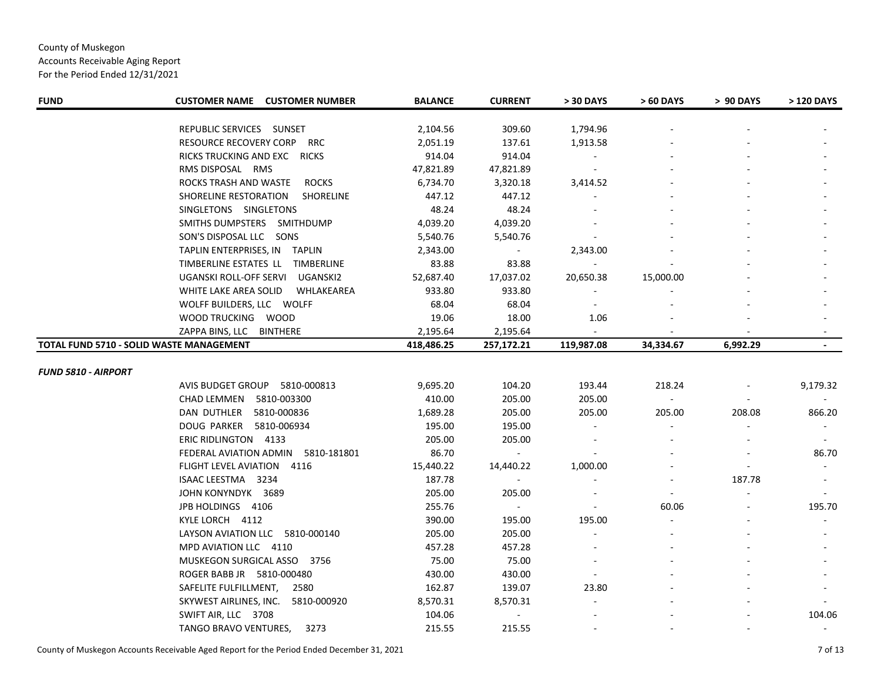Accounts Receivable Aging Report

| <b>FUND</b>                              | <b>CUSTOMER NAME CUSTOMER NUMBER</b>      | <b>BALANCE</b> | <b>CURRENT</b> | > 30 DAYS  | > 60 DAYS | > 90 DAYS | > 120 DAYS |
|------------------------------------------|-------------------------------------------|----------------|----------------|------------|-----------|-----------|------------|
|                                          | REPUBLIC SERVICES SUNSET                  | 2,104.56       | 309.60         | 1,794.96   |           |           |            |
|                                          | RESOURCE RECOVERY CORP RRC                | 2,051.19       | 137.61         | 1,913.58   |           |           |            |
|                                          | RICKS TRUCKING AND EXC RICKS              | 914.04         | 914.04         |            |           |           |            |
|                                          | RMS DISPOSAL RMS                          | 47,821.89      | 47,821.89      |            |           |           |            |
|                                          | ROCKS TRASH AND WASTE<br><b>ROCKS</b>     | 6,734.70       | 3,320.18       | 3,414.52   |           |           |            |
|                                          | SHORELINE RESTORATION<br><b>SHORELINE</b> | 447.12         | 447.12         |            |           |           |            |
|                                          | SINGLETONS SINGLETONS                     | 48.24          | 48.24          |            |           |           |            |
|                                          | SMITHS DUMPSTERS SMITHDUMP                | 4,039.20       | 4,039.20       |            |           |           |            |
|                                          | SON'S DISPOSAL LLC SONS                   | 5,540.76       | 5,540.76       |            |           |           |            |
|                                          | TAPLIN ENTERPRISES, IN TAPLIN             | 2,343.00       |                | 2,343.00   |           |           |            |
|                                          | TIMBERLINE ESTATES LL TIMBERLINE          | 83.88          | 83.88          |            |           |           |            |
|                                          | UGANSKI ROLL-OFF SERVI<br>UGANSKI2        | 52,687.40      | 17,037.02      | 20,650.38  | 15,000.00 |           |            |
|                                          | WHITE LAKE AREA SOLID<br>WHLAKEAREA       | 933.80         | 933.80         |            |           |           |            |
|                                          | WOLFF BUILDERS, LLC WOLFF                 | 68.04          | 68.04          |            |           |           |            |
|                                          | WOOD TRUCKING WOOD                        | 19.06          | 18.00          | 1.06       |           |           |            |
|                                          | ZAPPA BINS, LLC BINTHERE                  | 2,195.64       | 2,195.64       |            |           |           |            |
| TOTAL FUND 5710 - SOLID WASTE MANAGEMENT |                                           | 418,486.25     | 257,172.21     | 119,987.08 | 34,334.67 | 6,992.29  |            |
|                                          |                                           |                |                |            |           |           |            |
| <b>FUND 5810 - AIRPORT</b>               |                                           |                |                |            |           |           |            |
|                                          | AVIS BUDGET GROUP 5810-000813             | 9,695.20       | 104.20         | 193.44     | 218.24    |           | 9,179.32   |
|                                          | CHAD LEMMEN 5810-003300                   | 410.00         | 205.00         | 205.00     | $\sim$    |           |            |
|                                          | DAN DUTHLER<br>5810-000836                | 1,689.28       | 205.00         | 205.00     | 205.00    | 208.08    | 866.20     |
|                                          | DOUG PARKER 5810-006934                   | 195.00         | 195.00         |            |           |           |            |
|                                          | ERIC RIDLINGTON 4133                      | 205.00         | 205.00         |            |           |           |            |
|                                          | FEDERAL AVIATION ADMIN 5810-181801        | 86.70          |                |            |           |           | 86.70      |
|                                          | FLIGHT LEVEL AVIATION 4116                | 15,440.22      | 14,440.22      | 1,000.00   |           |           |            |
|                                          | ISAAC LEESTMA 3234                        | 187.78         |                |            |           | 187.78    |            |
|                                          | JOHN KONYNDYK 3689                        | 205.00         | 205.00         |            |           |           |            |
|                                          | JPB HOLDINGS 4106                         | 255.76         | $\sim$         |            | 60.06     |           | 195.70     |
|                                          | KYLE LORCH 4112                           | 390.00         | 195.00         | 195.00     |           |           |            |
|                                          | LAYSON AVIATION LLC 5810-000140           | 205.00         | 205.00         |            |           |           |            |
|                                          | MPD AVIATION LLC 4110                     | 457.28         | 457.28         |            |           |           |            |
|                                          | MUSKEGON SURGICAL ASSO 3756               | 75.00          | 75.00          |            |           |           |            |
|                                          | ROGER BABB JR 5810-000480                 | 430.00         | 430.00         |            |           |           |            |
|                                          | SAFELITE FULFILLMENT,<br>2580             | 162.87         | 139.07         | 23.80      |           |           |            |
|                                          | SKYWEST AIRLINES, INC.<br>5810-000920     | 8,570.31       | 8,570.31       |            |           |           |            |
|                                          | SWIFT AIR, LLC 3708                       | 104.06         | $\sim$         |            |           |           | 104.06     |
|                                          | TANGO BRAVO VENTURES,<br>3273             | 215.55         | 215.55         |            |           |           |            |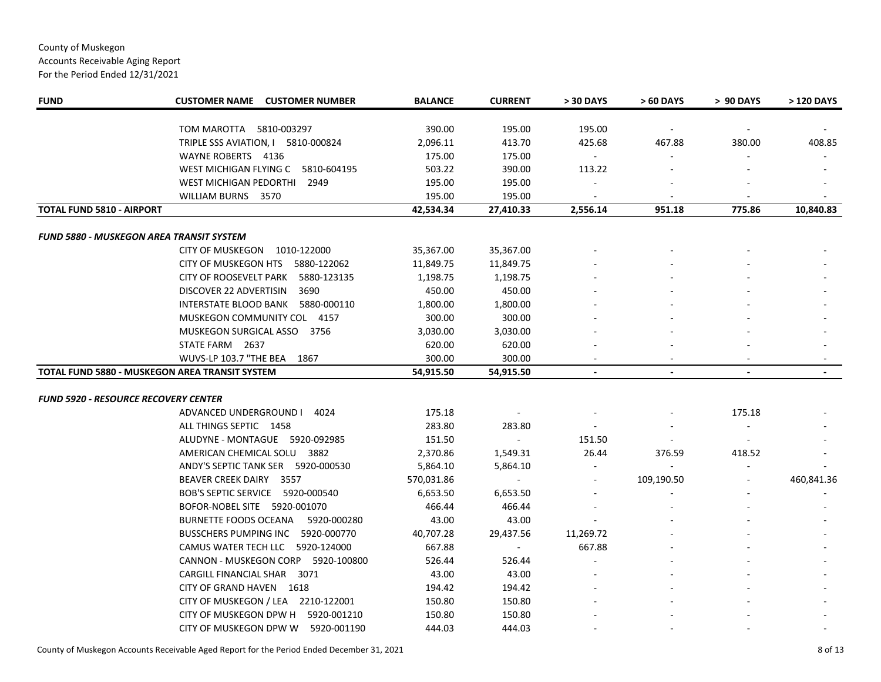Accounts Receivable Aging Report

| <b>FUND</b>                                     | <b>CUSTOMER NAME CUSTOMER NUMBER</b>  | <b>BALANCE</b>      | <b>CURRENT</b>      | > 30 DAYS                | > 60 DAYS      | > 90 DAYS      | > 120 DAYS     |
|-------------------------------------------------|---------------------------------------|---------------------|---------------------|--------------------------|----------------|----------------|----------------|
|                                                 | TOM MAROTTA 5810-003297               | 390.00              | 195.00              | 195.00                   |                |                |                |
|                                                 | TRIPLE SSS AVIATION, I 5810-000824    | 2,096.11            | 413.70              | 425.68                   | 467.88         | 380.00         | 408.85         |
|                                                 | WAYNE ROBERTS 4136                    | 175.00              | 175.00              | $\sim$                   |                |                |                |
|                                                 | WEST MICHIGAN FLYING C 5810-604195    | 503.22              | 390.00              | 113.22                   |                |                |                |
|                                                 | WEST MICHIGAN PEDORTHI 2949           | 195.00              | 195.00              |                          |                |                |                |
|                                                 |                                       |                     |                     |                          |                |                |                |
| <b>TOTAL FUND 5810 - AIRPORT</b>                | WILLIAM BURNS 3570                    | 195.00<br>42,534.34 | 195.00<br>27,410.33 | 2,556.14                 | 951.18         | 775.86         | 10,840.83      |
|                                                 |                                       |                     |                     |                          |                |                |                |
| <b>FUND 5880 - MUSKEGON AREA TRANSIT SYSTEM</b> |                                       |                     |                     |                          |                |                |                |
|                                                 | CITY OF MUSKEGON 1010-122000          | 35,367.00           | 35,367.00           |                          |                |                |                |
|                                                 | CITY OF MUSKEGON HTS 5880-122062      | 11,849.75           | 11,849.75           |                          |                |                |                |
|                                                 | CITY OF ROOSEVELT PARK<br>5880-123135 | 1,198.75            | 1,198.75            |                          |                |                |                |
|                                                 | DISCOVER 22 ADVERTISIN<br>3690        | 450.00              | 450.00              |                          |                |                |                |
|                                                 | INTERSTATE BLOOD BANK 5880-000110     | 1,800.00            | 1,800.00            |                          |                |                |                |
|                                                 | MUSKEGON COMMUNITY COL 4157           | 300.00              | 300.00              |                          |                |                |                |
|                                                 | MUSKEGON SURGICAL ASSO 3756           | 3,030.00            | 3,030.00            |                          |                |                |                |
|                                                 | STATE FARM 2637                       | 620.00              | 620.00              |                          |                |                |                |
|                                                 | WUVS-LP 103.7 "THE BEA<br>1867        | 300.00              | 300.00              |                          |                |                |                |
| TOTAL FUND 5880 - MUSKEGON AREA TRANSIT SYSTEM  |                                       | 54,915.50           | 54,915.50           | $\blacksquare$           | $\blacksquare$ | $\blacksquare$ | $\blacksquare$ |
|                                                 |                                       |                     |                     |                          |                |                |                |
| FUND 5920 - RESOURCE RECOVERY CENTER            |                                       |                     |                     |                          |                |                |                |
|                                                 | ADVANCED UNDERGROUND I 4024           | 175.18              |                     |                          |                | 175.18         |                |
|                                                 | ALL THINGS SEPTIC 1458                | 283.80              | 283.80              | $\sim$                   |                |                |                |
|                                                 | ALUDYNE - MONTAGUE 5920-092985        | 151.50              | $\sim$              | 151.50                   |                |                |                |
|                                                 | AMERICAN CHEMICAL SOLU 3882           | 2,370.86            | 1,549.31            | 26.44                    | 376.59         | 418.52         |                |
|                                                 | ANDY'S SEPTIC TANK SER 5920-000530    | 5,864.10            | 5,864.10            |                          | $\sim$         | $\blacksquare$ |                |
|                                                 | BEAVER CREEK DAIRY 3557               | 570,031.86          |                     | $\overline{\phantom{a}}$ | 109,190.50     | -              | 460,841.36     |
|                                                 | BOB'S SEPTIC SERVICE 5920-000540      | 6,653.50            | 6,653.50            |                          |                |                |                |
|                                                 | BOFOR-NOBEL SITE 5920-001070          | 466.44              | 466.44              |                          |                |                |                |
|                                                 | BURNETTE FOODS OCEANA<br>5920-000280  | 43.00               | 43.00               |                          |                |                |                |
|                                                 | BUSSCHERS PUMPING INC 5920-000770     | 40,707.28           | 29,437.56           | 11,269.72                |                |                |                |
|                                                 | CAMUS WATER TECH LLC 5920-124000      | 667.88              | $\sim$              | 667.88                   |                |                |                |
|                                                 | CANNON - MUSKEGON CORP 5920-100800    | 526.44              | 526.44              |                          |                |                |                |
|                                                 | CARGILL FINANCIAL SHAR 3071           | 43.00               | 43.00               |                          |                |                |                |
|                                                 | CITY OF GRAND HAVEN 1618              | 194.42              | 194.42              |                          |                |                |                |
|                                                 | CITY OF MUSKEGON / LEA 2210-122001    | 150.80              | 150.80              |                          |                |                |                |
|                                                 | CITY OF MUSKEGON DPW H<br>5920-001210 | 150.80              | 150.80              |                          |                |                |                |
|                                                 | CITY OF MUSKEGON DPW W<br>5920-001190 | 444.03              | 444.03              |                          |                |                |                |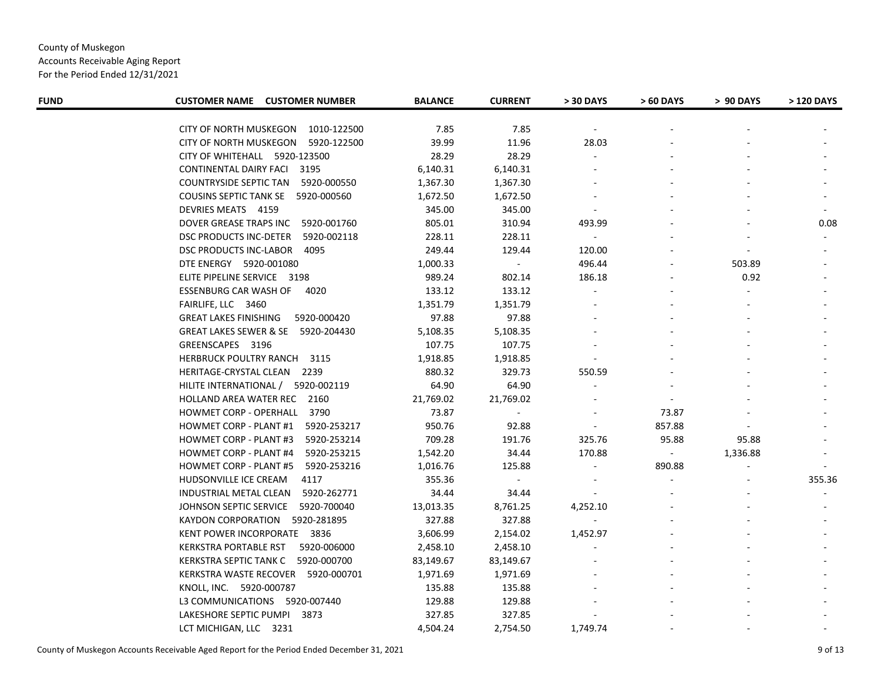Accounts Receivable Aging Report

| <b>FUND</b> | <b>CUSTOMER NAME CUSTOMER NUMBER</b>         | <b>BALANCE</b> | <b>CURRENT</b> | > 30 DAYS      | > 60 DAYS      | > 90 DAYS | > 120 DAYS |
|-------------|----------------------------------------------|----------------|----------------|----------------|----------------|-----------|------------|
|             | CITY OF NORTH MUSKEGON<br>1010-122500        | 7.85           | 7.85           |                |                |           |            |
|             | CITY OF NORTH MUSKEGON 5920-122500           | 39.99          | 11.96          | 28.03          |                |           |            |
|             | CITY OF WHITEHALL 5920-123500                | 28.29          | 28.29          |                |                |           |            |
|             | <b>CONTINENTAL DAIRY FACI 3195</b>           | 6,140.31       | 6,140.31       |                |                |           |            |
|             | COUNTRYSIDE SEPTIC TAN 5920-000550           | 1,367.30       | 1,367.30       |                |                |           |            |
|             | COUSINS SEPTIC TANK SE 5920-000560           | 1,672.50       | 1,672.50       |                |                |           |            |
|             | DEVRIES MEATS 4159                           | 345.00         | 345.00         |                |                |           |            |
|             | DOVER GREASE TRAPS INC 5920-001760           | 805.01         | 310.94         | 493.99         |                |           | 0.08       |
|             | DSC PRODUCTS INC-DETER<br>5920-002118        | 228.11         | 228.11         |                |                |           |            |
|             | DSC PRODUCTS INC-LABOR<br>4095               | 249.44         | 129.44         | 120.00         |                |           |            |
|             | DTE ENERGY 5920-001080                       | 1,000.33       | $\sim$         | 496.44         |                | 503.89    |            |
|             | ELITE PIPELINE SERVICE 3198                  | 989.24         | 802.14         | 186.18         |                | 0.92      |            |
|             | <b>ESSENBURG CAR WASH OF</b><br>4020         | 133.12         | 133.12         |                |                |           |            |
|             | FAIRLIFE, LLC 3460                           | 1,351.79       | 1,351.79       |                |                |           |            |
|             | <b>GREAT LAKES FINISHING</b><br>5920-000420  | 97.88          | 97.88          |                |                |           |            |
|             | GREAT LAKES SEWER & SE 5920-204430           | 5,108.35       | 5,108.35       |                |                |           |            |
|             | GREENSCAPES 3196                             | 107.75         | 107.75         |                |                |           |            |
|             | <b>HERBRUCK POULTRY RANCH</b><br>3115        | 1,918.85       | 1,918.85       |                |                |           |            |
|             | HERITAGE-CRYSTAL CLEAN 2239                  | 880.32         | 329.73         | 550.59         |                |           |            |
|             | HILITE INTERNATIONAL / 5920-002119           | 64.90          | 64.90          |                |                |           |            |
|             | HOLLAND AREA WATER REC 2160                  | 21,769.02      | 21,769.02      |                |                |           |            |
|             | HOWMET CORP - OPERHALL<br>3790               | 73.87          | $\sim$         |                | 73.87          |           |            |
|             | <b>HOWMET CORP - PLANT #1</b><br>5920-253217 | 950.76         | 92.88          | $\blacksquare$ | 857.88         |           |            |
|             | <b>HOWMET CORP - PLANT #3</b><br>5920-253214 | 709.28         | 191.76         | 325.76         | 95.88          | 95.88     |            |
|             | <b>HOWMET CORP - PLANT #4</b><br>5920-253215 | 1,542.20       | 34.44          | 170.88         | $\blacksquare$ | 1,336.88  |            |
|             | <b>HOWMET CORP - PLANT #5</b><br>5920-253216 | 1,016.76       | 125.88         | $\sim$         | 890.88         |           |            |
|             | HUDSONVILLE ICE CREAM<br>4117                | 355.36         | $\sim$         |                |                |           | 355.36     |
|             | INDUSTRIAL METAL CLEAN<br>5920-262771        | 34.44          | 34.44          |                |                |           |            |
|             | JOHNSON SEPTIC SERVICE<br>5920-700040        | 13,013.35      | 8,761.25       | 4,252.10       |                |           |            |
|             | KAYDON CORPORATION 5920-281895               | 327.88         | 327.88         |                |                |           |            |
|             | KENT POWER INCORPORATE 3836                  | 3,606.99       | 2,154.02       | 1,452.97       |                |           |            |
|             | <b>KERKSTRA PORTABLE RST</b><br>5920-006000  | 2,458.10       | 2,458.10       |                |                |           |            |
|             | KERKSTRA SEPTIC TANK C 5920-000700           | 83,149.67      | 83,149.67      |                |                |           |            |
|             | KERKSTRA WASTE RECOVER<br>5920-000701        | 1,971.69       | 1,971.69       |                |                |           |            |
|             | KNOLL, INC. 5920-000787                      | 135.88         | 135.88         |                |                |           |            |
|             | L3 COMMUNICATIONS 5920-007440                | 129.88         | 129.88         |                |                |           |            |
|             | LAKESHORE SEPTIC PUMPI 3873                  | 327.85         | 327.85         |                |                |           |            |
|             | LCT MICHIGAN, LLC 3231                       | 4,504.24       | 2,754.50       | 1,749.74       |                |           |            |
|             |                                              |                |                |                |                |           |            |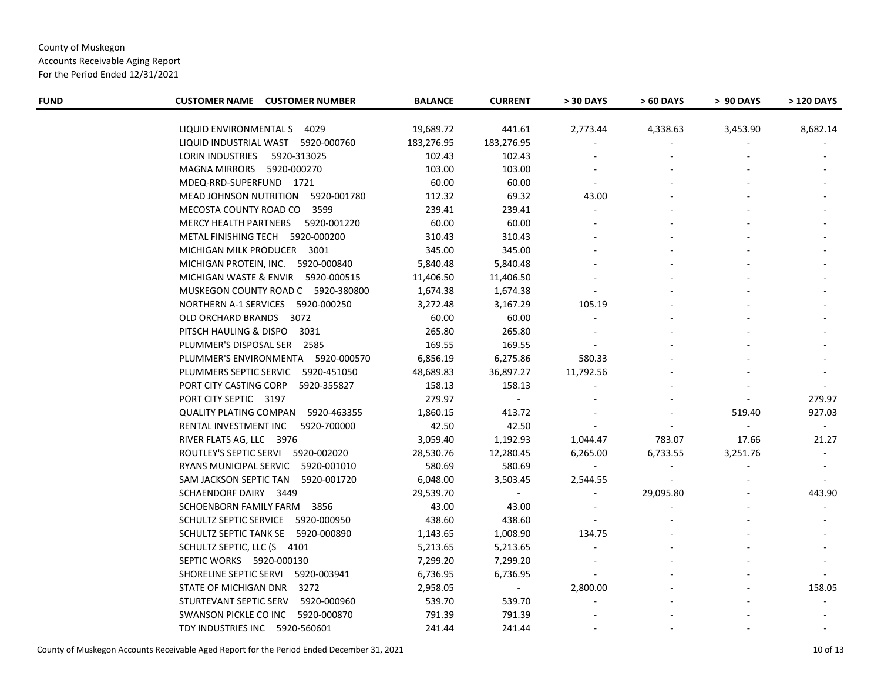Accounts Receivable Aging Report

| <b>FUND</b> | <b>CUSTOMER NAME CUSTOMER NUMBER</b>         | <b>BALANCE</b> | <b>CURRENT</b> | > 30 DAYS | > 60 DAYS | > 90 DAYS | > 120 DAYS |
|-------------|----------------------------------------------|----------------|----------------|-----------|-----------|-----------|------------|
|             | LIQUID ENVIRONMENTAL S 4029                  | 19,689.72      | 441.61         | 2,773.44  | 4,338.63  | 3,453.90  | 8,682.14   |
|             | LIQUID INDUSTRIAL WAST 5920-000760           | 183,276.95     | 183,276.95     |           |           |           |            |
|             | <b>LORIN INDUSTRIES</b><br>5920-313025       | 102.43         | 102.43         |           |           |           |            |
|             | MAGNA MIRRORS 5920-000270                    | 103.00         | 103.00         |           |           |           |            |
|             | MDEQ-RRD-SUPERFUND 1721                      | 60.00          | 60.00          |           |           |           |            |
|             | MEAD JOHNSON NUTRITION<br>5920-001780        | 112.32         | 69.32          | 43.00     |           |           |            |
|             | MECOSTA COUNTY ROAD CO<br>3599               | 239.41         | 239.41         |           |           |           |            |
|             | MERCY HEALTH PARTNERS<br>5920-001220         | 60.00          | 60.00          |           |           |           |            |
|             | METAL FINISHING TECH 5920-000200             | 310.43         | 310.43         |           |           |           |            |
|             | MICHIGAN MILK PRODUCER 3001                  | 345.00         | 345.00         |           |           |           |            |
|             | MICHIGAN PROTEIN, INC. 5920-000840           | 5,840.48       | 5,840.48       |           |           |           |            |
|             | MICHIGAN WASTE & ENVIR 5920-000515           | 11,406.50      | 11,406.50      |           |           |           |            |
|             | MUSKEGON COUNTY ROAD C 5920-380800           | 1,674.38       | 1,674.38       |           |           |           |            |
|             | NORTHERN A-1 SERVICES 5920-000250            | 3,272.48       | 3,167.29       | 105.19    |           |           |            |
|             | OLD ORCHARD BRANDS<br>3072                   | 60.00          | 60.00          |           |           |           |            |
|             | PITSCH HAULING & DISPO<br>3031               | 265.80         | 265.80         |           |           |           |            |
|             | PLUMMER'S DISPOSAL SER 2585                  | 169.55         | 169.55         |           |           |           |            |
|             | PLUMMER'S ENVIRONMENTA 5920-000570           | 6,856.19       | 6,275.86       | 580.33    |           |           |            |
|             | PLUMMERS SEPTIC SERVIC<br>5920-451050        | 48,689.83      | 36,897.27      | 11,792.56 |           |           |            |
|             | PORT CITY CASTING CORP<br>5920-355827        | 158.13         | 158.13         |           |           |           |            |
|             | PORT CITY SEPTIC 3197                        | 279.97         | $\blacksquare$ |           |           |           | 279.97     |
|             | <b>QUALITY PLATING COMPAN</b><br>5920-463355 | 1,860.15       | 413.72         |           |           | 519.40    | 927.03     |
|             | RENTAL INVESTMENT INC<br>5920-700000         | 42.50          | 42.50          |           |           | $\sim$    |            |
|             | RIVER FLATS AG, LLC 3976                     | 3,059.40       | 1,192.93       | 1,044.47  | 783.07    | 17.66     | 21.27      |
|             | ROUTLEY'S SEPTIC SERVI 5920-002020           | 28,530.76      | 12,280.45      | 6,265.00  | 6,733.55  | 3,251.76  |            |
|             | RYANS MUNICIPAL SERVIC 5920-001010           | 580.69         | 580.69         |           |           |           |            |
|             | SAM JACKSON SEPTIC TAN 5920-001720           | 6,048.00       | 3,503.45       | 2,544.55  |           |           |            |
|             | SCHAENDORF DAIRY 3449                        | 29,539.70      |                |           | 29,095.80 |           | 443.90     |
|             | SCHOENBORN FAMILY FARM 3856                  | 43.00          | 43.00          |           |           |           |            |
|             | SCHULTZ SEPTIC SERVICE 5920-000950           | 438.60         | 438.60         |           |           |           |            |
|             | SCHULTZ SEPTIC TANK SE 5920-000890           | 1,143.65       | 1,008.90       | 134.75    |           |           |            |
|             | SCHULTZ SEPTIC, LLC (S 4101                  | 5,213.65       | 5,213.65       |           |           |           |            |
|             | SEPTIC WORKS 5920-000130                     | 7,299.20       | 7,299.20       |           |           |           |            |
|             | SHORELINE SEPTIC SERVI 5920-003941           | 6,736.95       | 6,736.95       |           |           |           |            |
|             | STATE OF MICHIGAN DNR 3272                   | 2,958.05       |                | 2,800.00  |           |           | 158.05     |
|             | STURTEVANT SEPTIC SERV<br>5920-000960        | 539.70         | 539.70         |           |           |           |            |
|             | SWANSON PICKLE CO INC 5920-000870            | 791.39         | 791.39         |           |           |           |            |
|             | TDY INDUSTRIES INC 5920-560601               | 241.44         | 241.44         |           |           |           |            |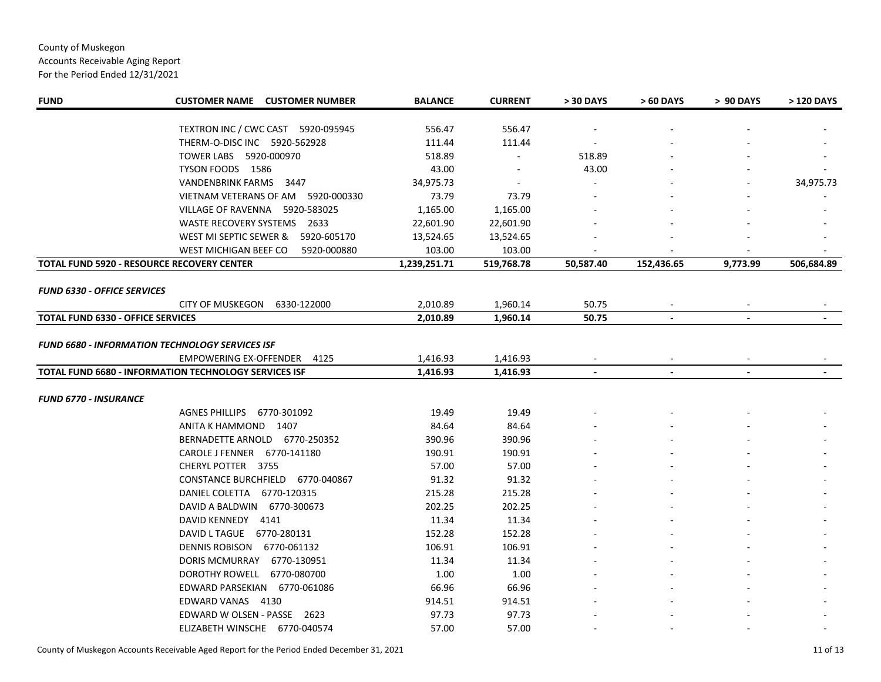# County of Muskegon Accounts Receivable Aging Report For the Period Ended 12/31/2021

| <b>FUND</b>                              | <b>CUSTOMER NAME CUSTOMER NUMBER</b>                         | <b>BALANCE</b> | <b>CURRENT</b> | > 30 DAYS      | > 60 DAYS      | > 90 DAYS      | > 120 DAYS |
|------------------------------------------|--------------------------------------------------------------|----------------|----------------|----------------|----------------|----------------|------------|
|                                          | TEXTRON INC / CWC CAST 5920-095945                           | 556.47         | 556.47         |                |                |                |            |
|                                          | THERM-O-DISC INC 5920-562928                                 | 111.44         | 111.44         |                |                |                |            |
|                                          | TOWER LABS  5920-000970                                      | 518.89         | $\blacksquare$ | 518.89         |                |                |            |
|                                          | TYSON FOODS 1586                                             | 43.00          |                | 43.00          |                |                |            |
|                                          | VANDENBRINK FARMS 3447                                       | 34,975.73      |                |                |                |                | 34,975.73  |
|                                          | VIETNAM VETERANS OF AM<br>5920-000330                        | 73.79          | 73.79          |                |                |                |            |
|                                          | 5920-583025<br>VILLAGE OF RAVENNA                            | 1,165.00       | 1,165.00       |                |                |                |            |
|                                          | WASTE RECOVERY SYSTEMS 2633                                  | 22,601.90      | 22,601.90      |                |                |                |            |
|                                          | WEST MI SEPTIC SEWER &<br>5920-605170                        | 13,524.65      | 13,524.65      |                |                |                |            |
|                                          | WEST MICHIGAN BEEF CO<br>5920-000880                         | 103.00         | 103.00         |                |                |                |            |
|                                          | <b>TOTAL FUND 5920 - RESOURCE RECOVERY CENTER</b>            | 1,239,251.71   | 519,768.78     | 50,587.40      | 152,436.65     | 9,773.99       | 506,684.89 |
| <b>FUND 6330 - OFFICE SERVICES</b>       |                                                              |                |                |                |                |                |            |
|                                          | CITY OF MUSKEGON<br>6330-122000                              | 2,010.89       | 1,960.14       | 50.75          |                |                |            |
| <b>TOTAL FUND 6330 - OFFICE SERVICES</b> |                                                              | 2,010.89       | 1,960.14       | 50.75          |                |                |            |
|                                          |                                                              |                |                |                |                |                |            |
|                                          | <b>FUND 6680 - INFORMATION TECHNOLOGY SERVICES ISF</b>       |                |                |                |                |                |            |
|                                          | <b>EMPOWERING EX-OFFENDER</b><br>4125                        | 1,416.93       | 1,416.93       |                |                |                |            |
|                                          | <b>TOTAL FUND 6680 - INFORMATION TECHNOLOGY SERVICES ISF</b> | 1,416.93       | 1,416.93       | $\blacksquare$ | $\blacksquare$ | $\blacksquare$ |            |
|                                          |                                                              |                |                |                |                |                |            |
| <b>FUND 6770 - INSURANCE</b>             |                                                              |                |                |                |                |                |            |
|                                          | <b>AGNES PHILLIPS</b><br>6770-301092                         | 19.49          | 19.49          |                |                |                |            |
|                                          | ANITA K HAMMOND 1407                                         | 84.64          | 84.64          |                |                |                |            |
|                                          | BERNADETTE ARNOLD 6770-250352                                | 390.96         | 390.96         |                |                |                |            |
|                                          | CAROLE J FENNER 6770-141180                                  | 190.91         | 190.91         |                |                |                |            |
|                                          | CHERYL POTTER 3755                                           | 57.00          | 57.00          |                |                |                |            |
|                                          | CONSTANCE BURCHFIELD 6770-040867                             | 91.32          | 91.32          |                |                |                |            |
|                                          | DANIEL COLETTA 6770-120315                                   | 215.28         | 215.28         |                |                |                |            |
|                                          | DAVID A BALDWIN 6770-300673                                  | 202.25         | 202.25         |                |                |                |            |
|                                          | DAVID KENNEDY 4141                                           | 11.34          | 11.34          |                |                |                |            |
|                                          | DAVID L TAGUE 6770-280131                                    | 152.28         | 152.28         |                |                |                |            |
|                                          | DENNIS ROBISON 6770-061132                                   | 106.91         | 106.91         |                |                |                |            |
|                                          | DORIS MCMURRAY<br>6770-130951                                | 11.34          | 11.34          |                |                |                |            |
|                                          | <b>DOROTHY ROWELL</b><br>6770-080700                         | 1.00           | 1.00           |                |                |                |            |
|                                          | EDWARD PARSEKIAN 6770-061086                                 | 66.96          | 66.96          |                |                |                |            |
|                                          | EDWARD VANAS 4130                                            | 914.51         | 914.51         |                |                |                |            |
|                                          | EDWARD W OLSEN - PASSE 2623                                  | 97.73          | 97.73          |                |                |                |            |
|                                          | ELIZABETH WINSCHE 6770-040574                                | 57.00          | 57.00          |                |                |                |            |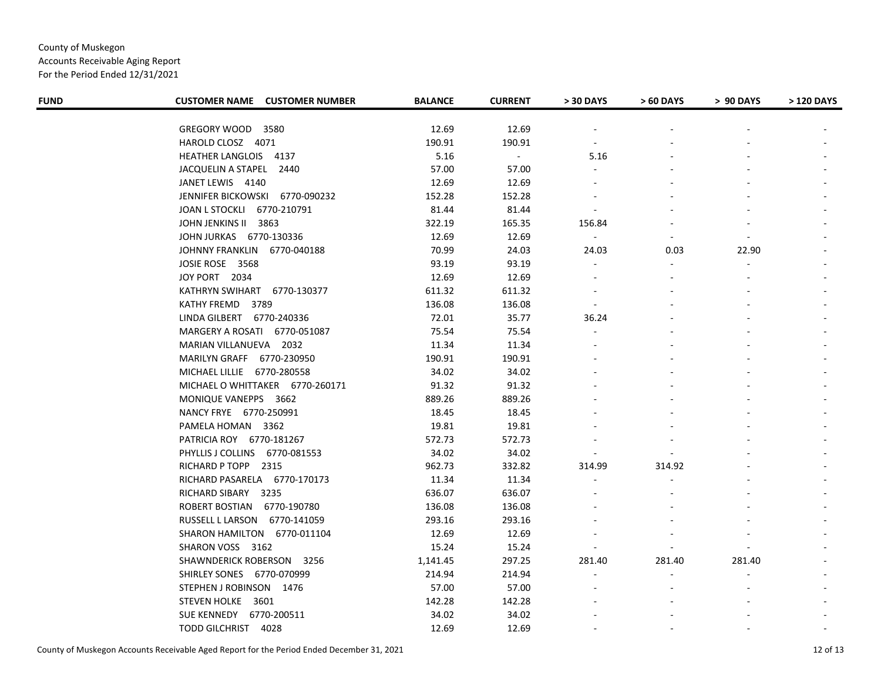Accounts Receivable Aging Report

| <b>FUND</b> | <b>CUSTOMER NAME CUSTOMER NUMBER</b> | <b>BALANCE</b> | <b>CURRENT</b> | > 30 DAYS      | > 60 DAYS      | > 90 DAYS | > 120 DAYS |
|-------------|--------------------------------------|----------------|----------------|----------------|----------------|-----------|------------|
|             | GREGORY WOOD 3580                    | 12.69          | 12.69          |                |                |           |            |
|             | HAROLD CLOSZ 4071                    | 190.91         | 190.91         |                |                |           |            |
|             | HEATHER LANGLOIS 4137                | 5.16           | $\blacksquare$ | 5.16           |                |           |            |
|             | JACQUELIN A STAPEL 2440              | 57.00          | 57.00          |                |                |           |            |
|             | JANET LEWIS 4140                     | 12.69          | 12.69          |                |                |           |            |
|             | JENNIFER BICKOWSKI 6770-090232       | 152.28         | 152.28         |                |                |           |            |
|             | JOAN L STOCKLI 6770-210791           | 81.44          | 81.44          |                |                |           |            |
|             | JOHN JENKINS II<br>3863              | 322.19         | 165.35         | 156.84         |                |           |            |
|             | JOHN JURKAS 6770-130336              | 12.69          | 12.69          | $\blacksquare$ | $\blacksquare$ |           |            |
|             | JOHNNY FRANKLIN 6770-040188          | 70.99          | 24.03          | 24.03          | 0.03           | 22.90     |            |
|             | JOSIE ROSE 3568                      | 93.19          | 93.19          |                |                |           |            |
|             | JOY PORT 2034                        | 12.69          | 12.69          |                |                |           |            |
|             | KATHRYN SWIHART 6770-130377          | 611.32         | 611.32         |                |                |           |            |
|             | KATHY FREMD<br>3789                  | 136.08         | 136.08         | $\sim$         |                |           |            |
|             | LINDA GILBERT 6770-240336            | 72.01          | 35.77          | 36.24          |                |           |            |
|             | MARGERY A ROSATI 6770-051087         | 75.54          | 75.54          |                |                |           |            |
|             | MARIAN VILLANUEVA 2032               | 11.34          | 11.34          |                |                |           |            |
|             | MARILYN GRAFF 6770-230950            | 190.91         | 190.91         |                |                |           |            |
|             | MICHAEL LILLIE 6770-280558           | 34.02          | 34.02          |                |                |           |            |
|             | MICHAEL O WHITTAKER 6770-260171      | 91.32          | 91.32          |                |                |           |            |
|             | MONIQUE VANEPPS 3662                 | 889.26         | 889.26         |                |                |           |            |
|             | NANCY FRYE 6770-250991               | 18.45          | 18.45          |                |                |           |            |
|             | PAMELA HOMAN 3362                    | 19.81          | 19.81          |                |                |           |            |
|             | PATRICIA ROY 6770-181267             | 572.73         | 572.73         |                |                |           |            |
|             | PHYLLIS J COLLINS 6770-081553        | 34.02          | 34.02          |                |                |           |            |
|             | RICHARD P TOPP 2315                  | 962.73         | 332.82         | 314.99         | 314.92         |           |            |
|             | RICHARD PASARELA 6770-170173         | 11.34          | 11.34          |                |                |           |            |
|             | RICHARD SIBARY 3235                  | 636.07         | 636.07         |                |                |           |            |
|             | ROBERT BOSTIAN 6770-190780           | 136.08         | 136.08         |                |                |           |            |
|             | RUSSELL L LARSON 6770-141059         | 293.16         | 293.16         |                |                |           |            |
|             | SHARON HAMILTON 6770-011104          | 12.69          | 12.69          |                |                |           |            |
|             | SHARON VOSS 3162                     | 15.24          | 15.24          |                |                |           |            |
|             | SHAWNDERICK ROBERSON 3256            | 1,141.45       | 297.25         | 281.40         | 281.40         | 281.40    |            |
|             | SHIRLEY SONES 6770-070999            | 214.94         | 214.94         | $\blacksquare$ |                |           |            |
|             | STEPHEN J ROBINSON 1476              | 57.00          | 57.00          |                |                |           |            |
|             | STEVEN HOLKE 3601                    | 142.28         | 142.28         |                |                |           |            |
|             | SUE KENNEDY 6770-200511              | 34.02          | 34.02          |                |                |           |            |
|             | TODD GILCHRIST 4028                  | 12.69          | 12.69          |                |                |           |            |